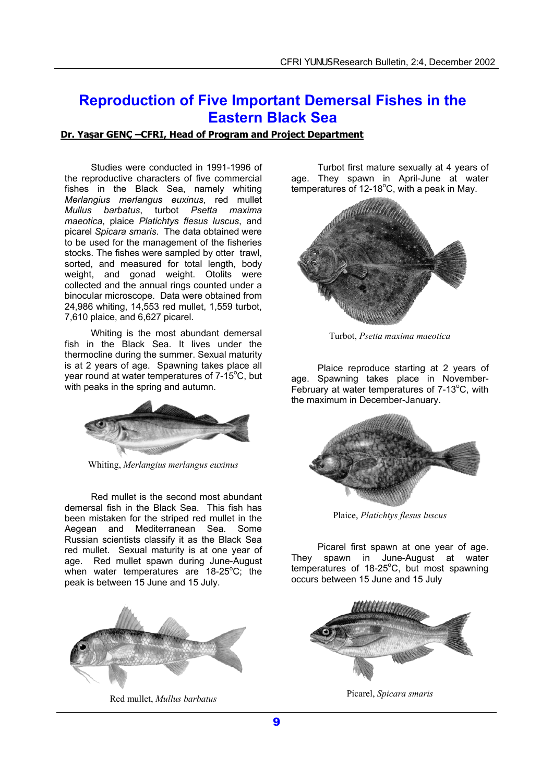## **Reproduction of Five Important Demersal Fishes in the Eastern Black Sea**

## **Dr. Yaşar GENÇ –CFRI, Head of Program and Project Department**

Studies were conducted in 1991-1996 of the reproductive characters of five commercial fishes in the Black Sea, namely whiting *Merlangius merlangus euxinus*, red mullet *Mullus barbatus*, turbot *Psetta maxima maeotica*, plaice *Platichtys flesus luscus*, and picarel *Spicara smaris*. The data obtained were to be used for the management of the fisheries stocks. The fishes were sampled by otter trawl, sorted, and measured for total length, body weight, and gonad weight. Otolits were collected and the annual rings counted under a binocular microscope. Data were obtained from 24,986 whiting, 14,553 red mullet, 1,559 turbot, 7,610 plaice, and 6,627 picarel.

Whiting is the most abundant demersal fish in the Black Sea. It lives under the thermocline during the summer. Sexual maturity is at 2 years of age. Spawning takes place all year round at water temperatures of 7-15°C, but with peaks in the spring and autumn.



Whiting, *Merlangius merlangus euxinus*

Red mullet is the second most abundant demersal fish in the Black Sea. This fish has been mistaken for the striped red mullet in the Aegean and Mediterranean Sea. Some Russian scientists classify it as the Black Sea red mullet. Sexual maturity is at one year of age. Red mullet spawn during June-August when water temperatures are 18-25°C; the peak is between 15 June and 15 July.



Red mullet, *Mullus barbatus*

Turbot first mature sexually at 4 years of age. They spawn in April-June at water temperatures of 12-18 $^{\circ}$ C, with a peak in May.



Turbot, *Psetta maxima maeotica*

Plaice reproduce starting at 2 years of age. Spawning takes place in November-February at water temperatures of  $7-13^{\circ}$ C, with the maximum in December-January.



Plaice, *Platichtys flesus luscus*

Picarel first spawn at one year of age. They spawn in June-August at water temperatures of 18-25°C, but most spawning occurs between 15 June and 15 July



Picarel, *Spicara smaris*